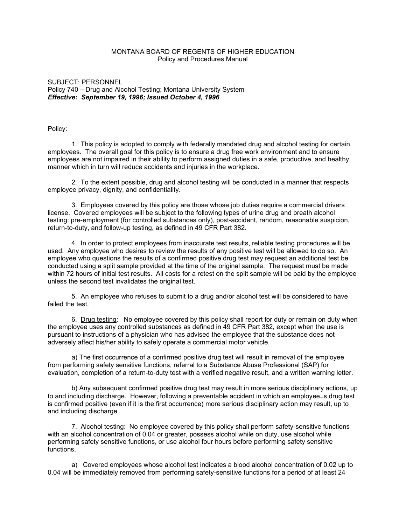# MONTANA BOARD OF REGENTS OF HIGHER EDUCATION Policy and Procedures Manual

## SUBJECT: PERSONNEL Policy 740 – Drug and Alcohol Testing; Montana University System *Effective: September 19, 1996; Issued October 4, 1996*

### Policy:

1. This policy is adopted to comply with federally mandated drug and alcohol testing for certain employees. The overall goal for this policy is to ensure a drug free work environment and to ensure employees are not impaired in their ability to perform assigned duties in a safe, productive, and healthy manner which in turn will reduce accidents and injuries in the workplace.

2. To the extent possible, drug and alcohol testing will be conducted in a manner that respects employee privacy, dignity, and confidentiality.

3. Employees covered by this policy are those whose job duties require a commercial drivers license. Covered employees will be subject to the following types of urine drug and breath alcohol testing: pre-employment (for controlled substances only), post-accident, random, reasonable suspicion, return-to-duty, and follow-up testing, as defined in 49 CFR Part 382.

4. In order to protect employees from inaccurate test results, reliable testing procedures will be used. Any employee who desires to review the results of any positive test will be allowed to do so. An employee who questions the results of a confirmed positive drug test may request an additional test be conducted using a split sample provided at the time of the original sample. The request must be made within 72 hours of initial test results. All costs for a retest on the split sample will be paid by the employee unless the second test invalidates the original test.

5. An employee who refuses to submit to a drug and/or alcohol test will be considered to have failed the test.

6. Drug testing: No employee covered by this policy shall report for duty or remain on duty when the employee uses any controlled substances as defined in 49 CFR Part 382, except when the use is pursuant to instructions of a physician who has advised the employee that the substance does not adversely affect his/her ability to safely operate a commercial motor vehicle.

a) The first occurrence of a confirmed positive drug test will result in removal of the employee from performing safety sensitive functions, referral to a Substance Abuse Professional (SAP) for evaluation, completion of a return-to-duty test with a verified negative result, and a written warning letter.

b) Any subsequent confirmed positive drug test may result in more serious disciplinary actions, up to and including discharge. However, following a preventable accident in which an employee=s drug test is confirmed positive (even if it is the first occurrence) more serious disciplinary action may result, up to and including discharge.

7. Alcohol testing: No employee covered by this policy shall perform safety-sensitive functions with an alcohol concentration of 0.04 or greater, possess alcohol while on duty, use alcohol while performing safety sensitive functions, or use alcohol four hours before performing safety sensitive functions.

a) Covered employees whose alcohol test indicates a blood alcohol concentration of 0.02 up to 0.04 will be immediately removed from performing safety-sensitive functions for a period of at least 24